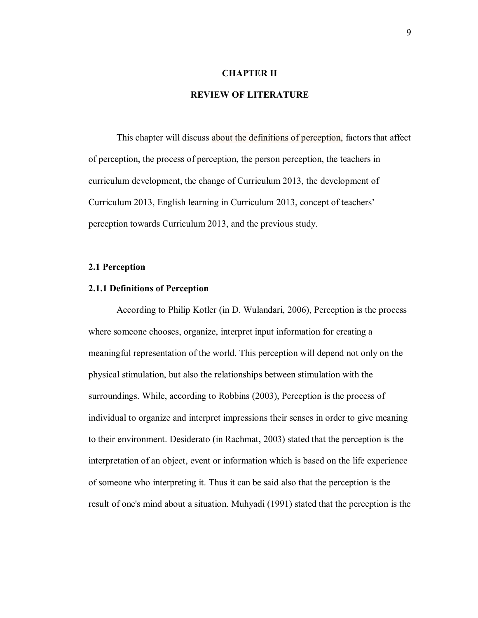## **CHAPTER II**

# **REVIEW OF LITERATURE**

This chapter will discuss about the definitions of perception, factors that affect of perception, the process of perception, the person perception, the teachers in curriculum development, the change of Curriculum 2013, the development of Curriculum 2013, English learning in Curriculum 2013, concept of teachers' perception towards Curriculum 2013, and the previous study.

## **2.1 Perception**

#### **2.1.1 Definitions of Perception**

According to Philip Kotler (in D. Wulandari, 2006), Perception is the process where someone chooses, organize, interpret input information for creating a meaningful representation of the world. This perception will depend not only on the physical stimulation, but also the relationships between stimulation with the surroundings. While, according to Robbins (2003), Perception is the process of individual to organize and interpret impressions their senses in order to give meaning to their environment. Desiderato (in Rachmat, 2003) stated that the perception is the interpretation of an object, event or information which is based on the life experience of someone who interpreting it. Thus it can be said also that the perception is the result of one's mind about a situation. Muhyadi (1991) stated that the perception is the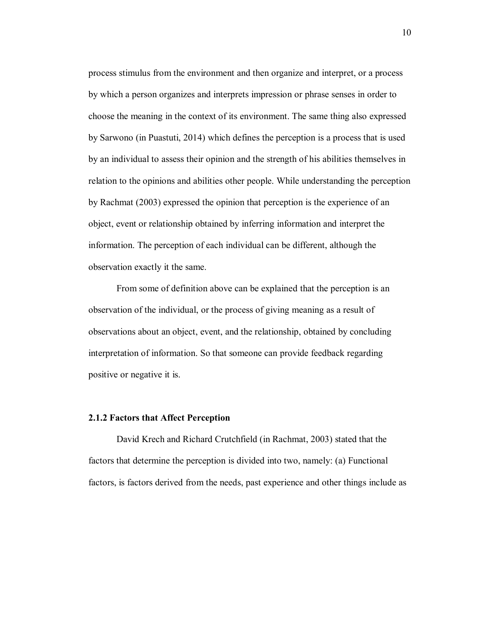process stimulus from the environment and then organize and interpret, or a process by which a person organizes and interprets impression or phrase senses in order to choose the meaning in the context of its environment. The same thing also expressed by Sarwono (in Puastuti, 2014) which defines the perception is a process that is used by an individual to assess their opinion and the strength of his abilities themselves in relation to the opinions and abilities other people. While understanding the perception by Rachmat (2003) expressed the opinion that perception is the experience of an object, event or relationship obtained by inferring information and interpret the information. The perception of each individual can be different, although the observation exactly it the same.

From some of definition above can be explained that the perception is an observation of the individual, or the process of giving meaning as a result of observations about an object, event, and the relationship, obtained by concluding interpretation of information. So that someone can provide feedback regarding positive or negative it is.

### **2.1.2 Factors that Affect Perception**

David Krech and Richard Crutchfield (in Rachmat, 2003) stated that the factors that determine the perception is divided into two, namely: (a) Functional factors, is factors derived from the needs, past experience and other things include as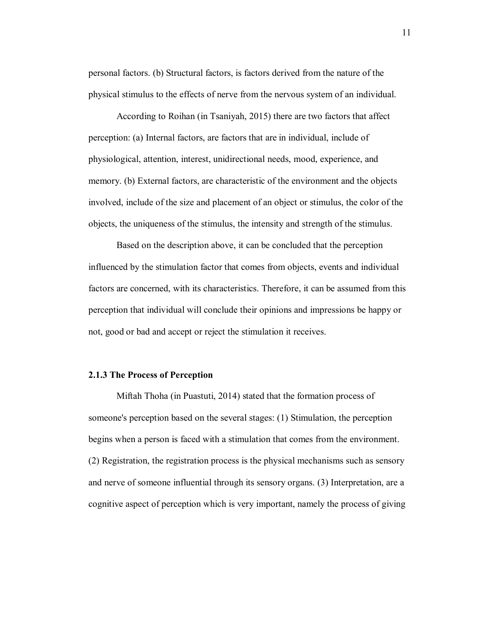personal factors. (b) Structural factors, is factors derived from the nature of the physical stimulus to the effects of nerve from the nervous system of an individual.

According to Roihan (in Tsaniyah, 2015) there are two factors that affect perception: (a) Internal factors, are factors that are in individual, include of physiological, attention, interest, unidirectional needs, mood, experience, and memory. (b) External factors, are characteristic of the environment and the objects involved, include of the size and placement of an object or stimulus, the color of the objects, the uniqueness of the stimulus, the intensity and strength of the stimulus.

Based on the description above, it can be concluded that the perception influenced by the stimulation factor that comes from objects, events and individual factors are concerned, with its characteristics. Therefore, it can be assumed from this perception that individual will conclude their opinions and impressions be happy or not, good or bad and accept or reject the stimulation it receives.

### **2.1.3 The Process of Perception**

Miftah Thoha (in Puastuti, 2014) stated that the formation process of someone's perception based on the several stages: (1) Stimulation, the perception begins when a person is faced with a stimulation that comes from the environment. (2) Registration, the registration process is the physical mechanisms such as sensory and nerve of someone influential through its sensory organs. (3) Interpretation, are a cognitive aspect of perception which is very important, namely the process of giving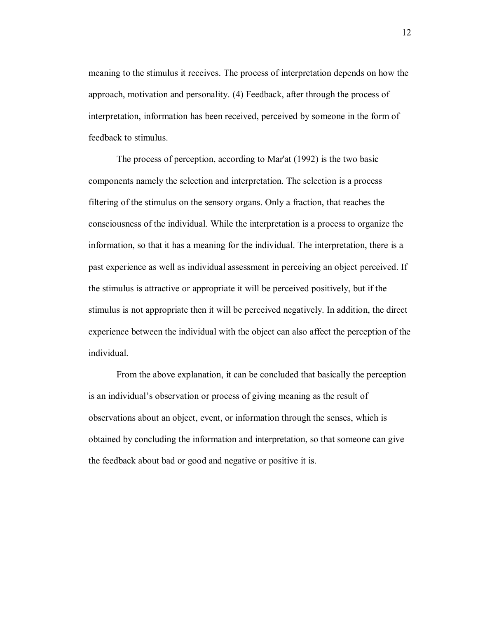meaning to the stimulus it receives. The process of interpretation depends on how the approach, motivation and personality. (4) Feedback, after through the process of interpretation, information has been received, perceived by someone in the form of feedback to stimulus.

The process of perception, according to Mar'at (1992) is the two basic components namely the selection and interpretation. The selection is a process filtering of the stimulus on the sensory organs. Only a fraction, that reaches the consciousness of the individual. While the interpretation is a process to organize the information, so that it has a meaning for the individual. The interpretation, there is a past experience as well as individual assessment in perceiving an object perceived. If the stimulus is attractive or appropriate it will be perceived positively, but if the stimulus is not appropriate then it will be perceived negatively. In addition, the direct experience between the individual with the object can also affect the perception of the individual.

From the above explanation, it can be concluded that basically the perception is an individual's observation or process of giving meaning as the result of observations about an object, event, or information through the senses, which is obtained by concluding the information and interpretation, so that someone can give the feedback about bad or good and negative or positive it is.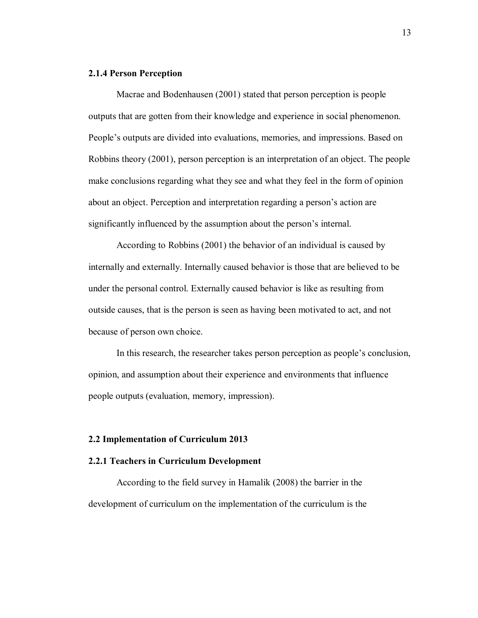## **2.1.4 Person Perception**

Macrae and Bodenhausen (2001) stated that person perception is people outputs that are gotten from their knowledge and experience in social phenomenon. People's outputs are divided into evaluations, memories, and impressions. Based on Robbins theory (2001), person perception is an interpretation of an object. The people make conclusions regarding what they see and what they feel in the form of opinion about an object. Perception and interpretation regarding a person's action are significantly influenced by the assumption about the person's internal.

According to Robbins (2001) the behavior of an individual is caused by internally and externally. Internally caused behavior is those that are believed to be under the personal control. Externally caused behavior is like as resulting from outside causes, that is the person is seen as having been motivated to act, and not because of person own choice.

In this research, the researcher takes person perception as people's conclusion, opinion, and assumption about their experience and environments that influence people outputs (evaluation, memory, impression).

#### **2.2 Implementation of Curriculum 2013**

### **2.2.1 Teachers in Curriculum Development**

According to the field survey in Hamalik (2008) the barrier in the development of curriculum on the implementation of the curriculum is the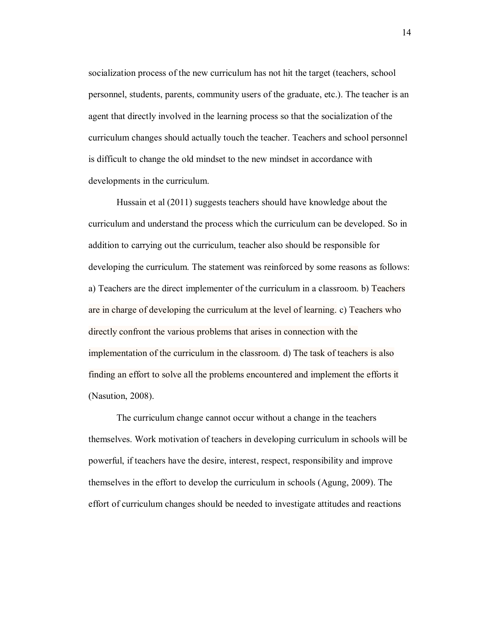socialization process of the new curriculum has not hit the target (teachers, school personnel, students, parents, community users of the graduate, etc.). The teacher is an agent that directly involved in the learning process so that the socialization of the curriculum changes should actually touch the teacher. Teachers and school personnel is difficult to change the old mindset to the new mindset in accordance with developments in the curriculum.

Hussain et al (2011) suggests teachers should have knowledge about the curriculum and understand the process which the curriculum can be developed. So in addition to carrying out the curriculum, teacher also should be responsible for developing the curriculum. The statement was reinforced by some reasons as follows: a) Teachers are the direct implementer of the curriculum in a classroom. b) Teachers are in charge of developing the curriculum at the level of learning. c) Teachers who directly confront the various problems that arises in connection with the implementation of the curriculum in the classroom. d) The task of teachers is also finding an effort to solve all the problems encountered and implement the efforts it (Nasution, 2008).

The curriculum change cannot occur without a change in the teachers themselves. Work motivation of teachers in developing curriculum in schools will be powerful, if teachers have the desire, interest, respect, responsibility and improve themselves in the effort to develop the curriculum in schools (Agung, 2009). The effort of curriculum changes should be needed to investigate attitudes and reactions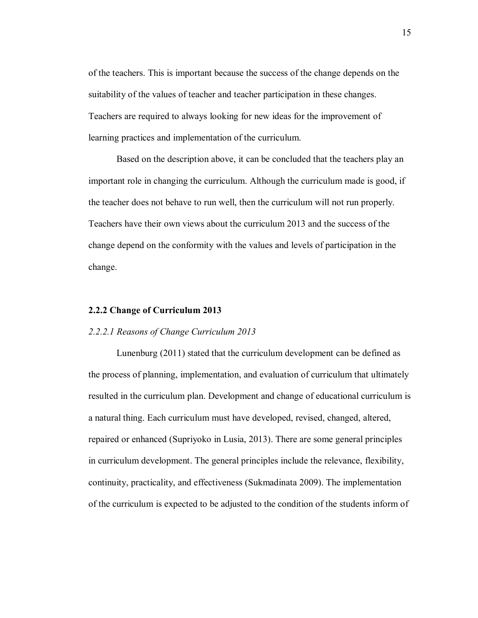of the teachers. This is important because the success of the change depends on the suitability of the values of teacher and teacher participation in these changes. Teachers are required to always looking for new ideas for the improvement of learning practices and implementation of the curriculum.

Based on the description above, it can be concluded that the teachers play an important role in changing the curriculum. Although the curriculum made is good, if the teacher does not behave to run well, then the curriculum will not run properly. Teachers have their own views about the curriculum 2013 and the success of the change depend on the conformity with the values and levels of participation in the change.

#### **2.2.2 Change of Curriculum 2013**

### *2.2.2.1 Reasons of Change Curriculum 2013*

Lunenburg (2011) stated that the curriculum development can be defined as the process of planning, implementation, and evaluation of curriculum that ultimately resulted in the curriculum plan. Development and change of educational curriculum is a natural thing. Each curriculum must have developed, revised, changed, altered, repaired or enhanced (Supriyoko in Lusia, 2013). There are some general principles in curriculum development. The general principles include the relevance, flexibility, continuity, practicality, and effectiveness (Sukmadinata 2009). The implementation of the curriculum is expected to be adjusted to the condition of the students inform of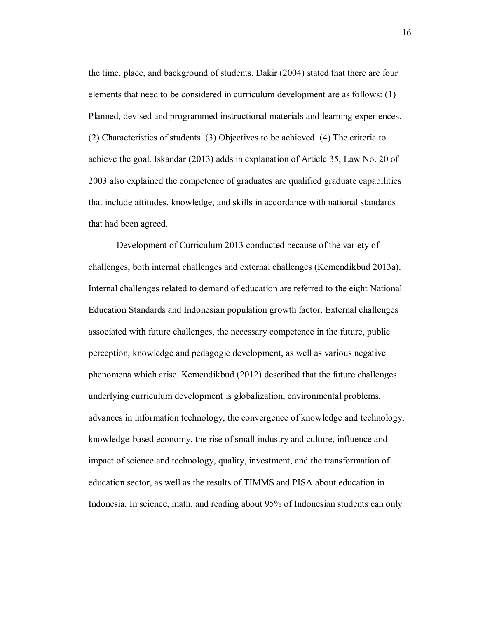the time, place, and background of students. Dakir (2004) stated that there are four elements that need to be considered in curriculum development are as follows: (1) Planned, devised and programmed instructional materials and learning experiences. (2) Characteristics of students. (3) Objectives to be achieved. (4) The criteria to achieve the goal. Iskandar (2013) adds in explanation of Article 35, Law No. 20 of 2003 also explained the competence of graduates are qualified graduate capabilities that include attitudes, knowledge, and skills in accordance with national standards that had been agreed.

Development of Curriculum 2013 conducted because of the variety of challenges, both internal challenges and external challenges (Kemendikbud 2013a). Internal challenges related to demand of education are referred to the eight National Education Standards and Indonesian population growth factor. External challenges associated with future challenges, the necessary competence in the future, public perception, knowledge and pedagogic development, as well as various negative phenomena which arise. Kemendikbud (2012) described that the future challenges underlying curriculum development is globalization, environmental problems, advances in information technology, the convergence of knowledge and technology, knowledge-based economy, the rise of small industry and culture, influence and impact of science and technology, quality, investment, and the transformation of education sector, as well as the results of TIMMS and PISA about education in Indonesia. In science, math, and reading about 95% of Indonesian students can only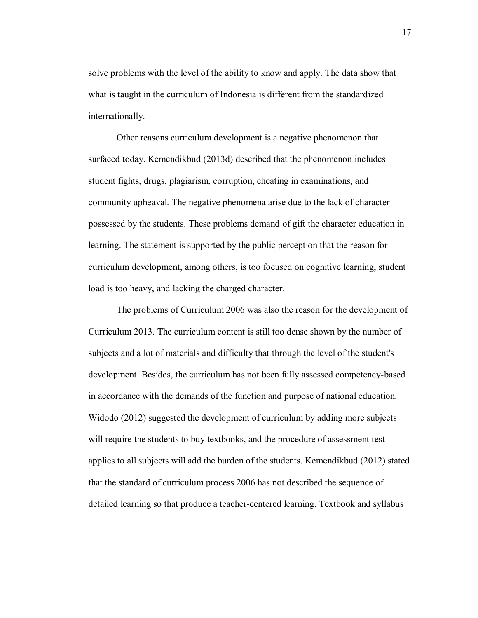solve problems with the level of the ability to know and apply. The data show that what is taught in the curriculum of Indonesia is different from the standardized internationally.

Other reasons curriculum development is a negative phenomenon that surfaced today. Kemendikbud (2013d) described that the phenomenon includes student fights, drugs, plagiarism, corruption, cheating in examinations, and community upheaval. The negative phenomena arise due to the lack of character possessed by the students. These problems demand of gift the character education in learning. The statement is supported by the public perception that the reason for curriculum development, among others, is too focused on cognitive learning, student load is too heavy, and lacking the charged character.

The problems of Curriculum 2006 was also the reason for the development of Curriculum 2013. The curriculum content is still too dense shown by the number of subjects and a lot of materials and difficulty that through the level of the student's development. Besides, the curriculum has not been fully assessed competency-based in accordance with the demands of the function and purpose of national education. Widodo (2012) suggested the development of curriculum by adding more subjects will require the students to buy textbooks, and the procedure of assessment test applies to all subjects will add the burden of the students. Kemendikbud (2012) stated that the standard of curriculum process 2006 has not described the sequence of detailed learning so that produce a teacher-centered learning. Textbook and syllabus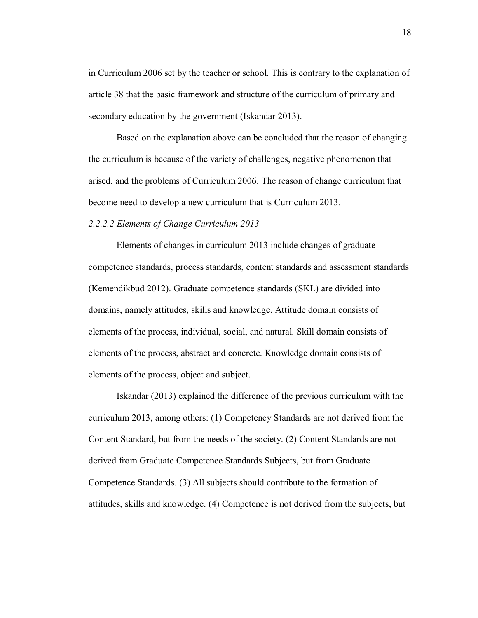in Curriculum 2006 set by the teacher or school. This is contrary to the explanation of article 38 that the basic framework and structure of the curriculum of primary and secondary education by the government (Iskandar 2013).

Based on the explanation above can be concluded that the reason of changing the curriculum is because of the variety of challenges, negative phenomenon that arised, and the problems of Curriculum 2006. The reason of change curriculum that become need to develop a new curriculum that is Curriculum 2013.

## *2.2.2.2 Elements of Change Curriculum 2013*

Elements of changes in curriculum 2013 include changes of graduate competence standards, process standards, content standards and assessment standards (Kemendikbud 2012). Graduate competence standards (SKL) are divided into domains, namely attitudes, skills and knowledge. Attitude domain consists of elements of the process, individual, social, and natural. Skill domain consists of elements of the process, abstract and concrete. Knowledge domain consists of elements of the process, object and subject.

Iskandar (2013) explained the difference of the previous curriculum with the curriculum 2013, among others: (1) Competency Standards are not derived from the Content Standard, but from the needs of the society. (2) Content Standards are not derived from Graduate Competence Standards Subjects, but from Graduate Competence Standards. (3) All subjects should contribute to the formation of attitudes, skills and knowledge. (4) Competence is not derived from the subjects, but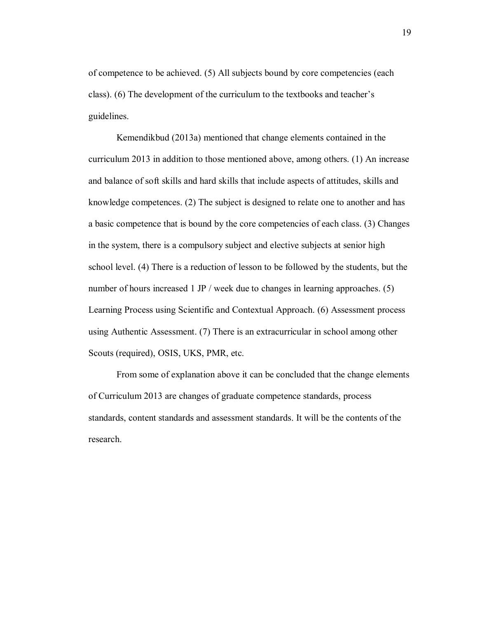of competence to be achieved. (5) All subjects bound by core competencies (each class). (6) The development of the curriculum to the textbooks and teacher's guidelines.

Kemendikbud (2013a) mentioned that change elements contained in the curriculum 2013 in addition to those mentioned above, among others. (1) An increase and balance of soft skills and hard skills that include aspects of attitudes, skills and knowledge competences. (2) The subject is designed to relate one to another and has a basic competence that is bound by the core competencies of each class. (3) Changes in the system, there is a compulsory subject and elective subjects at senior high school level. (4) There is a reduction of lesson to be followed by the students, but the number of hours increased 1 JP / week due to changes in learning approaches. (5) Learning Process using Scientific and Contextual Approach. (6) Assessment process using Authentic Assessment. (7) There is an extracurricular in school among other Scouts (required), OSIS, UKS, PMR, etc.

From some of explanation above it can be concluded that the change elements of Curriculum 2013 are changes of graduate competence standards, process standards, content standards and assessment standards. It will be the contents of the research.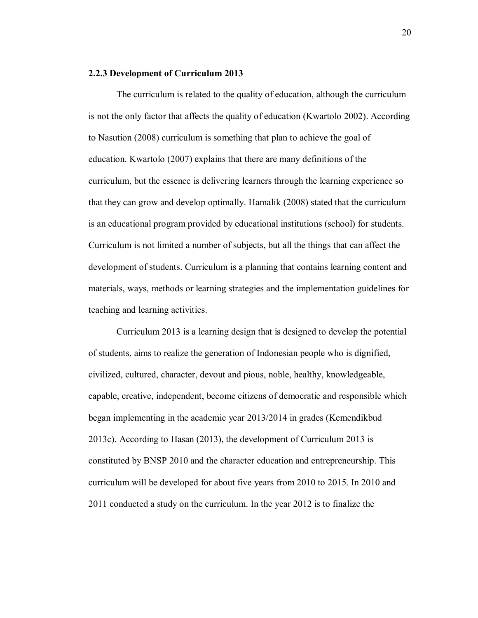### **2.2.3 Development of Curriculum 2013**

The curriculum is related to the quality of education, although the curriculum is not the only factor that affects the quality of education (Kwartolo 2002). According to Nasution (2008) curriculum is something that plan to achieve the goal of education. Kwartolo (2007) explains that there are many definitions of the curriculum, but the essence is delivering learners through the learning experience so that they can grow and develop optimally. Hamalik (2008) stated that the curriculum is an educational program provided by educational institutions (school) for students. Curriculum is not limited a number of subjects, but all the things that can affect the development of students. Curriculum is a planning that contains learning content and materials, ways, methods or learning strategies and the implementation guidelines for teaching and learning activities.

Curriculum 2013 is a learning design that is designed to develop the potential of students, aims to realize the generation of Indonesian people who is dignified, civilized, cultured, character, devout and pious, noble, healthy, knowledgeable, capable, creative, independent, become citizens of democratic and responsible which began implementing in the academic year 2013/2014 in grades (Kemendikbud 2013c). According to Hasan (2013), the development of Curriculum 2013 is constituted by BNSP 2010 and the character education and entrepreneurship. This curriculum will be developed for about five years from 2010 to 2015. In 2010 and 2011 conducted a study on the curriculum. In the year 2012 is to finalize the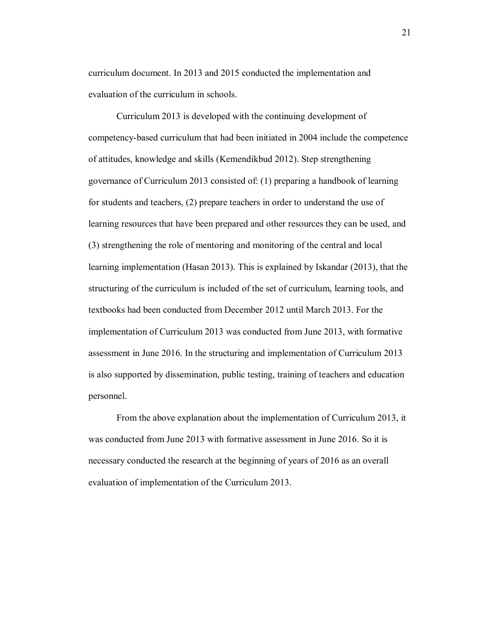curriculum document. In 2013 and 2015 conducted the implementation and evaluation of the curriculum in schools.

Curriculum 2013 is developed with the continuing development of competency-based curriculum that had been initiated in 2004 include the competence of attitudes, knowledge and skills (Kemendikbud 2012). Step strengthening governance of Curriculum 2013 consisted of: (1) preparing a handbook of learning for students and teachers, (2) prepare teachers in order to understand the use of learning resources that have been prepared and other resources they can be used, and (3) strengthening the role of mentoring and monitoring of the central and local learning implementation (Hasan 2013). This is explained by Iskandar (2013), that the structuring of the curriculum is included of the set of curriculum, learning tools, and textbooks had been conducted from December 2012 until March 2013. For the implementation of Curriculum 2013 was conducted from June 2013, with formative assessment in June 2016. In the structuring and implementation of Curriculum 2013 is also supported by dissemination, public testing, training of teachers and education personnel.

From the above explanation about the implementation of Curriculum 2013, it was conducted from June 2013 with formative assessment in June 2016. So it is necessary conducted the research at the beginning of years of 2016 as an overall evaluation of implementation of the Curriculum 2013.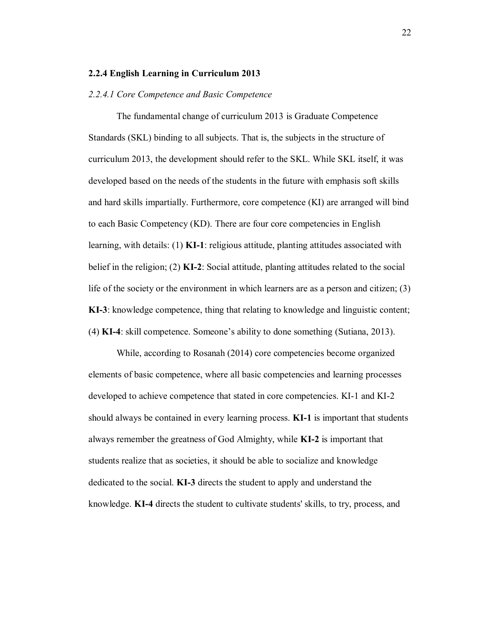#### **2.2.4 English Learning in Curriculum 2013**

#### *2.2.4.1 Core Competence and Basic Competence*

The fundamental change of curriculum 2013 is Graduate Competence Standards (SKL) binding to all subjects. That is, the subjects in the structure of curriculum 2013, the development should refer to the SKL. While SKL itself, it was developed based on the needs of the students in the future with emphasis soft skills and hard skills impartially. Furthermore, core competence (KI) are arranged will bind to each Basic Competency (KD). There are four core competencies in English learning, with details: (1) **KI-1**: religious attitude, planting attitudes associated with belief in the religion; (2) **KI-2**: Social attitude, planting attitudes related to the social life of the society or the environment in which learners are as a person and citizen; (3) **KI-3**: knowledge competence, thing that relating to knowledge and linguistic content; (4) **KI-4**: skill competence. Someone's ability to done something (Sutiana, 2013).

While, according to Rosanah (2014) core competencies become organized elements of basic competence, where all basic competencies and learning processes developed to achieve competence that stated in core competencies. KI-1 and KI-2 should always be contained in every learning process. **KI-1** is important that students always remember the greatness of God Almighty, while **KI-2** is important that students realize that as societies, it should be able to socialize and knowledge dedicated to the social. **KI-3** directs the student to apply and understand the knowledge. **KI-4** directs the student to cultivate students' skills, to try, process, and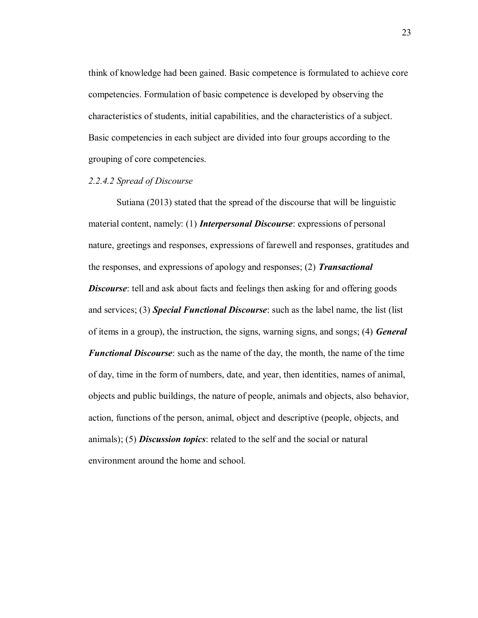think of knowledge had been gained. Basic competence is formulated to achieve core competencies. Formulation of basic competence is developed by observing the characteristics of students, initial capabilities, and the characteristics of a subject. Basic competencies in each subject are divided into four groups according to the grouping of core competencies.

### *2.2.4.2 Spread of Discourse*

Sutiana (2013) stated that the spread of the discourse that will be linguistic material content, namely: (1) *Interpersonal Discourse*: expressions of personal nature, greetings and responses, expressions of farewell and responses, gratitudes and the responses, and expressions of apology and responses; (2) *Transactional Discourse*: tell and ask about facts and feelings then asking for and offering goods and services; (3) *Special Functional Discourse*: such as the label name, the list (list of items in a group), the instruction, the signs, warning signs, and songs; (4) *General Functional Discourse*: such as the name of the day, the month, the name of the time of day, time in the form of numbers, date, and year, then identities, names of animal, objects and public buildings, the nature of people, animals and objects, also behavior, action, functions of the person, animal, object and descriptive (people, objects, and animals); (5) *Discussion topics*: related to the self and the social or natural environment around the home and school.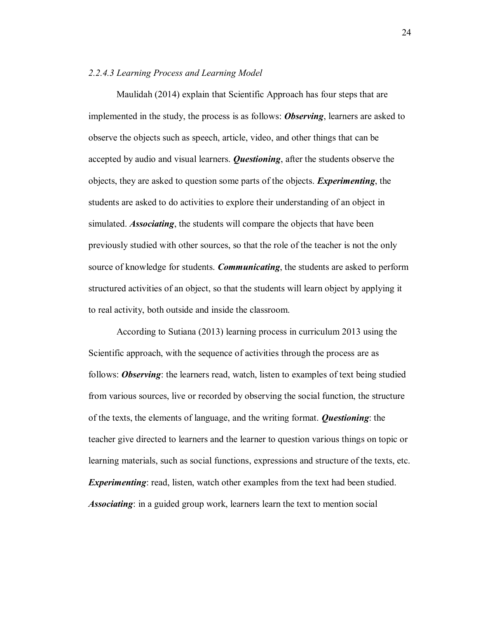# *2.2.4.3 Learning Process and Learning Model*

Maulidah (2014) explain that Scientific Approach has four steps that are implemented in the study, the process is as follows: *Observing*, learners are asked to observe the objects such as speech, article, video, and other things that can be accepted by audio and visual learners. *Questioning*, after the students observe the objects, they are asked to question some parts of the objects. *Experimenting*, the students are asked to do activities to explore their understanding of an object in simulated. *Associating*, the students will compare the objects that have been previously studied with other sources, so that the role of the teacher is not the only source of knowledge for students. *Communicating*, the students are asked to perform structured activities of an object, so that the students will learn object by applying it to real activity, both outside and inside the classroom.

According to Sutiana (2013) learning process in curriculum 2013 using the Scientific approach, with the sequence of activities through the process are as follows: *Observing*: the learners read, watch, listen to examples of text being studied from various sources, live or recorded by observing the social function, the structure of the texts, the elements of language, and the writing format. *Questioning*: the teacher give directed to learners and the learner to question various things on topic or learning materials, such as social functions, expressions and structure of the texts, etc. *Experimenting*: read, listen, watch other examples from the text had been studied. *Associating*: in a guided group work, learners learn the text to mention social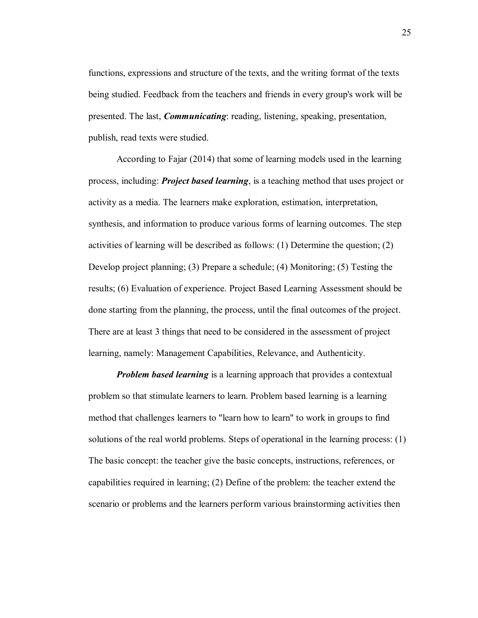functions, expressions and structure of the texts, and the writing format of the texts being studied. Feedback from the teachers and friends in every group's work will be presented. The last, *Communicating*: reading, listening, speaking, presentation, publish, read texts were studied.

According to Fajar (2014) that some of learning models used in the learning process, including: *Project based learning*, is a teaching method that uses project or activity as a media. The learners make exploration, estimation, interpretation, synthesis, and information to produce various forms of learning outcomes. The step activities of learning will be described as follows: (1) Determine the question; (2) Develop project planning; (3) Prepare a schedule; (4) Monitoring; (5) Testing the results; (6) Evaluation of experience. Project Based Learning Assessment should be done starting from the planning, the process, until the final outcomes of the project. There are at least 3 things that need to be considered in the assessment of project learning, namely: Management Capabilities, Relevance, and Authenticity.

*Problem based learning* is a learning approach that provides a contextual problem so that stimulate learners to learn. Problem based learning is a learning method that challenges learners to "learn how to learn" to work in groups to find solutions of the real world problems. Steps of operational in the learning process: (1) The basic concept: the teacher give the basic concepts, instructions, references, or capabilities required in learning; (2) Define of the problem: the teacher extend the scenario or problems and the learners perform various brainstorming activities then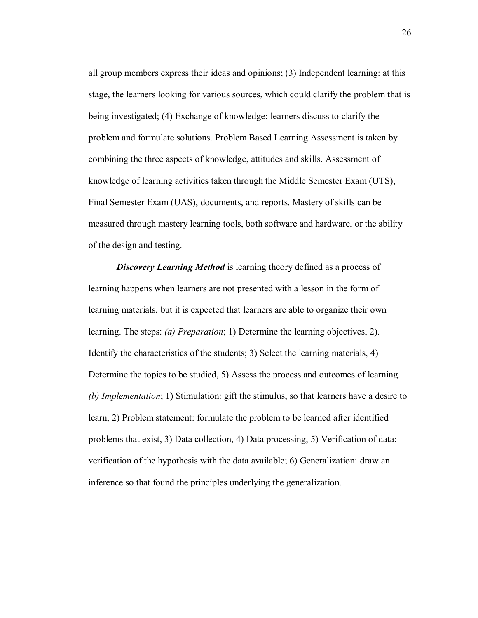all group members express their ideas and opinions; (3) Independent learning: at this stage, the learners looking for various sources, which could clarify the problem that is being investigated; (4) Exchange of knowledge: learners discuss to clarify the problem and formulate solutions. Problem Based Learning Assessment is taken by combining the three aspects of knowledge, attitudes and skills. Assessment of knowledge of learning activities taken through the Middle Semester Exam (UTS), Final Semester Exam (UAS), documents, and reports. Mastery of skills can be measured through mastery learning tools, both software and hardware, or the ability of the design and testing.

**Discovery Learning Method** is learning theory defined as a process of learning happens when learners are not presented with a lesson in the form of learning materials, but it is expected that learners are able to organize their own learning. The steps: *(a) Preparation*; 1) Determine the learning objectives, 2). Identify the characteristics of the students; 3) Select the learning materials, 4) Determine the topics to be studied, 5) Assess the process and outcomes of learning. *(b) Implementation*; 1) Stimulation: gift the stimulus, so that learners have a desire to learn, 2) Problem statement: formulate the problem to be learned after identified problems that exist, 3) Data collection, 4) Data processing, 5) Verification of data: verification of the hypothesis with the data available; 6) Generalization: draw an inference so that found the principles underlying the generalization.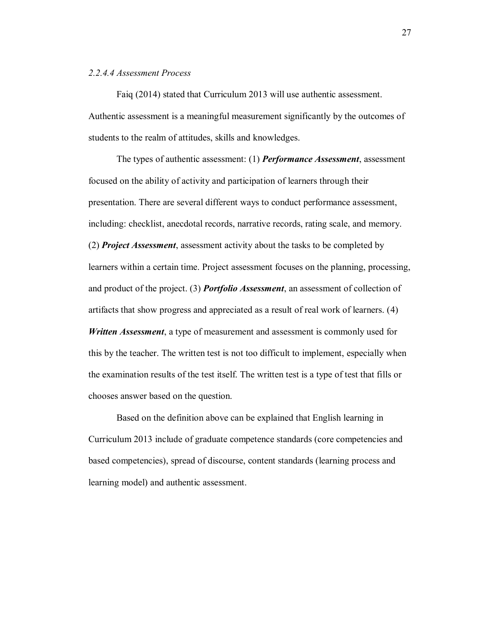# *2.2.4.4 Assessment Process*

Faiq (2014) stated that Curriculum 2013 will use authentic assessment. Authentic assessment is a meaningful measurement significantly by the outcomes of students to the realm of attitudes, skills and knowledges.

The types of authentic assessment: (1) *Performance Assessment*, assessment focused on the ability of activity and participation of learners through their presentation. There are several different ways to conduct performance assessment, including: checklist, anecdotal records, narrative records, rating scale, and memory. (2) *Project Assessment*, assessment activity about the tasks to be completed by learners within a certain time. Project assessment focuses on the planning, processing, and product of the project. (3) *Portfolio Assessment*, an assessment of collection of artifacts that show progress and appreciated as a result of real work of learners. (4) *Written Assessment*, a type of measurement and assessment is commonly used for this by the teacher. The written test is not too difficult to implement, especially when the examination results of the test itself. The written test is a type of test that fills or chooses answer based on the question.

Based on the definition above can be explained that English learning in Curriculum 2013 include of graduate competence standards (core competencies and based competencies), spread of discourse, content standards (learning process and learning model) and authentic assessment.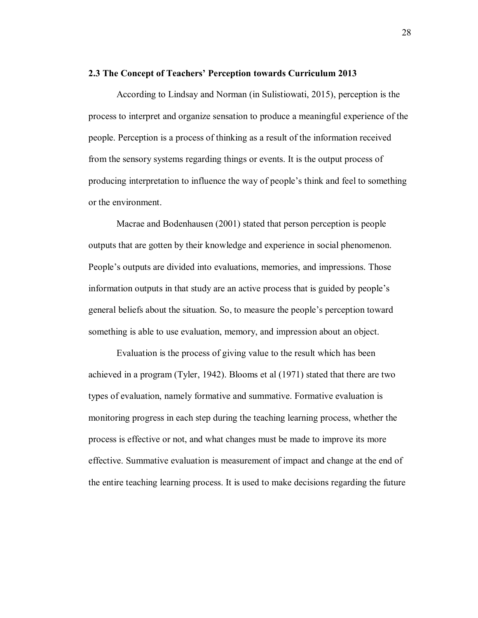#### **2.3 The Concept of Teachers' Perception towards Curriculum 2013**

According to Lindsay and Norman (in Sulistiowati, 2015), perception is the process to interpret and organize sensation to produce a meaningful experience of the people. Perception is a process of thinking as a result of the information received from the sensory systems regarding things or events. It is the output process of producing interpretation to influence the way of people's think and feel to something or the environment.

Macrae and Bodenhausen (2001) stated that person perception is people outputs that are gotten by their knowledge and experience in social phenomenon. People's outputs are divided into evaluations, memories, and impressions. Those information outputs in that study are an active process that is guided by people's general beliefs about the situation. So, to measure the people's perception toward something is able to use evaluation, memory, and impression about an object.

Evaluation is the process of giving value to the result which has been achieved in a program (Tyler, 1942). Blooms et al (1971) stated that there are two types of evaluation, namely formative and summative. Formative evaluation is monitoring progress in each step during the teaching learning process, whether the process is effective or not, and what changes must be made to improve its more effective. Summative evaluation is measurement of impact and change at the end of the entire teaching learning process. It is used to make decisions regarding the future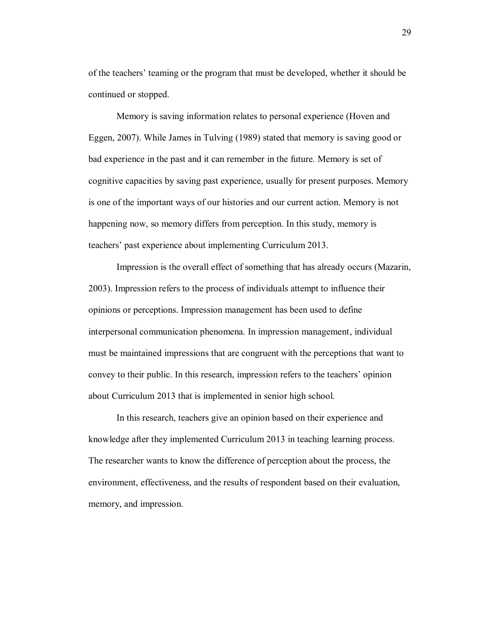of the teachers' teaming or the program that must be developed, whether it should be continued or stopped.

Memory is saving information relates to personal experience (Hoven and Eggen, 2007). While James in Tulving (1989) stated that memory is saving good or bad experience in the past and it can remember in the future. Memory is set of cognitive capacities by saving past experience, usually for present purposes. Memory is one of the important ways of our histories and our current action. Memory is not happening now, so memory differs from perception. In this study, memory is teachers' past experience about implementing Curriculum 2013.

Impression is the overall effect of something that has already occurs (Mazarin, 2003). Impression refers to the process of individuals attempt to influence their opinions or perceptions. Impression management has been used to define interpersonal communication phenomena. In impression management, individual must be maintained impressions that are congruent with the perceptions that want to convey to their public. In this research, impression refers to the teachers' opinion about Curriculum 2013 that is implemented in senior high school.

In this research, teachers give an opinion based on their experience and knowledge after they implemented Curriculum 2013 in teaching learning process. The researcher wants to know the difference of perception about the process, the environment, effectiveness, and the results of respondent based on their evaluation, memory, and impression.

29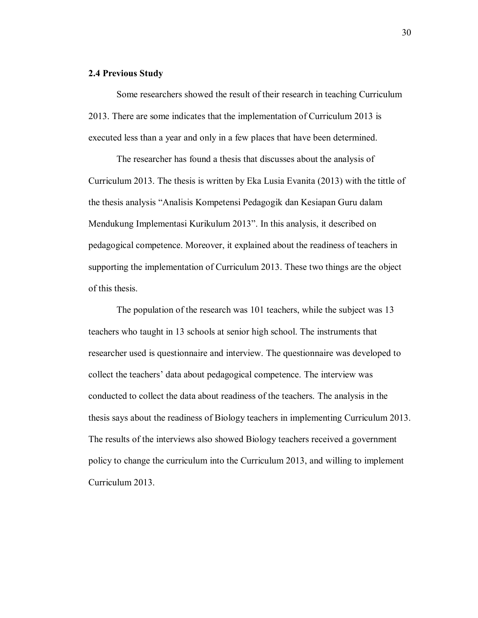## **2.4 Previous Study**

Some researchers showed the result of their research in teaching Curriculum 2013. There are some indicates that the implementation of Curriculum 2013 is executed less than a year and only in a few places that have been determined.

The researcher has found a thesis that discusses about the analysis of Curriculum 2013. The thesis is written by Eka Lusia Evanita (2013) with the tittle of the thesis analysis "Analisis Kompetensi Pedagogik dan Kesiapan Guru dalam Mendukung Implementasi Kurikulum 2013". In this analysis, it described on pedagogical competence. Moreover, it explained about the readiness of teachers in supporting the implementation of Curriculum 2013. These two things are the object of this thesis.

The population of the research was 101 teachers, while the subject was 13 teachers who taught in 13 schools at senior high school. The instruments that researcher used is questionnaire and interview. The questionnaire was developed to collect the teachers' data about pedagogical competence. The interview was conducted to collect the data about readiness of the teachers. The analysis in the thesis says about the readiness of Biology teachers in implementing Curriculum 2013. The results of the interviews also showed Biology teachers received a government policy to change the curriculum into the Curriculum 2013, and willing to implement Curriculum 2013.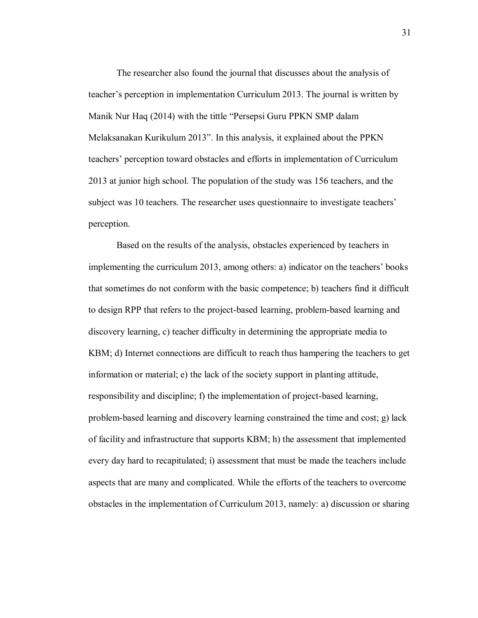The researcher also found the journal that discusses about the analysis of teacher's perception in implementation Curriculum 2013. The journal is written by Manik Nur Haq (2014) with the tittle "Persepsi Guru PPKN SMP dalam Melaksanakan Kurikulum 2013". In this analysis, it explained about the PPKN teachers' perception toward obstacles and efforts in implementation of Curriculum 2013 at junior high school. The population of the study was 156 teachers, and the subject was 10 teachers. The researcher uses questionnaire to investigate teachers' perception.

Based on the results of the analysis, obstacles experienced by teachers in implementing the curriculum 2013, among others: a) indicator on the teachers' books that sometimes do not conform with the basic competence; b) teachers find it difficult to design RPP that refers to the project-based learning, problem-based learning and discovery learning, c) teacher difficulty in determining the appropriate media to KBM; d) Internet connections are difficult to reach thus hampering the teachers to get information or material; e) the lack of the society support in planting attitude, responsibility and discipline; f) the implementation of project-based learning, problem-based learning and discovery learning constrained the time and cost; g) lack of facility and infrastructure that supports KBM; h) the assessment that implemented every day hard to recapitulated; i) assessment that must be made the teachers include aspects that are many and complicated. While the efforts of the teachers to overcome obstacles in the implementation of Curriculum 2013, namely: a) discussion or sharing

31